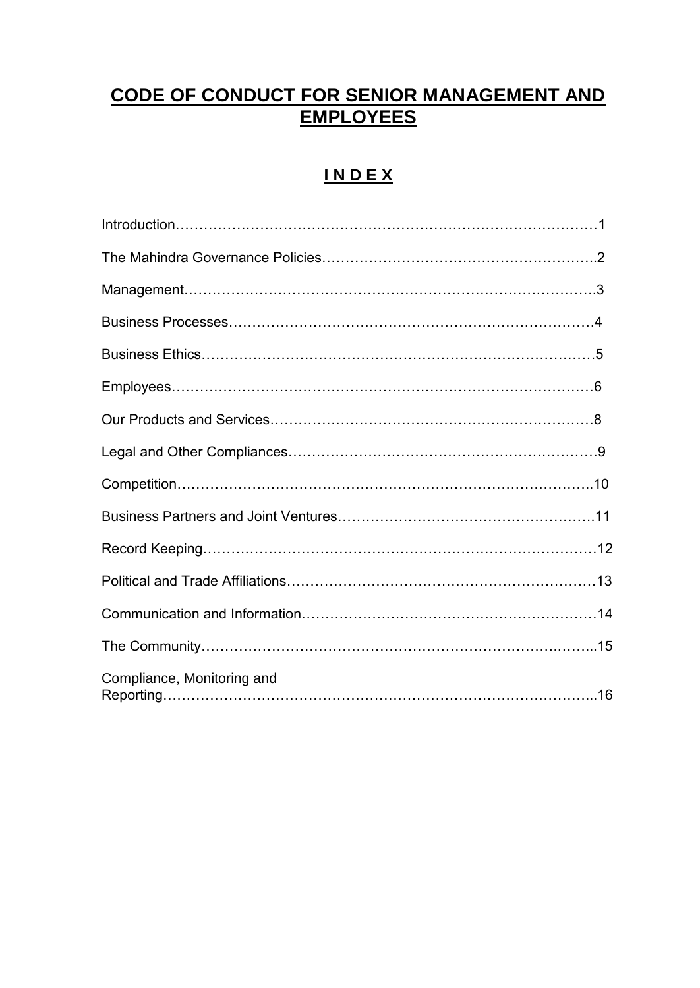# **CODE OF CONDUCT FOR SENIOR MANAGEMENT AND EMPLOYEES**

# **I N D E X**

| Compliance, Monitoring and |  |
|----------------------------|--|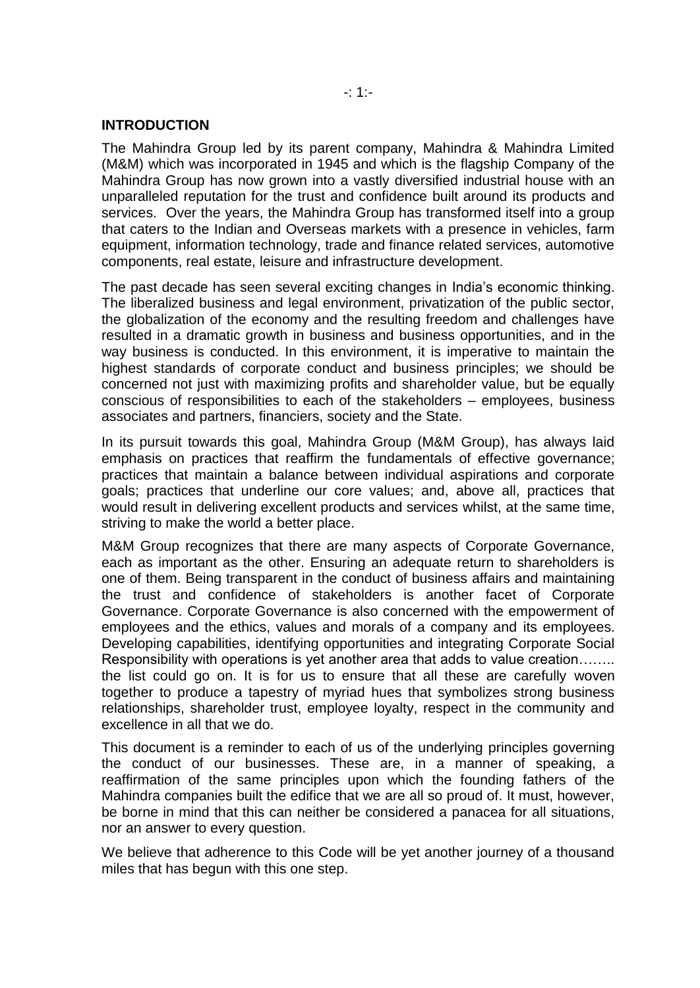## **INTRODUCTION**

The Mahindra Group led by its parent company, Mahindra & Mahindra Limited (M&M) which was incorporated in 1945 and which is the flagship Company of the Mahindra Group has now grown into a vastly diversified industrial house with an unparalleled reputation for the trust and confidence built around its products and services. Over the years, the Mahindra Group has transformed itself into a group that caters to the Indian and Overseas markets with a presence in vehicles, farm equipment, information technology, trade and finance related services, automotive components, real estate, leisure and infrastructure development.

The past decade has seen several exciting changes in India's economic thinking. The liberalized business and legal environment, privatization of the public sector, the globalization of the economy and the resulting freedom and challenges have resulted in a dramatic growth in business and business opportunities, and in the way business is conducted. In this environment, it is imperative to maintain the highest standards of corporate conduct and business principles; we should be concerned not just with maximizing profits and shareholder value, but be equally conscious of responsibilities to each of the stakeholders – employees, business associates and partners, financiers, society and the State.

In its pursuit towards this goal, Mahindra Group (M&M Group), has always laid emphasis on practices that reaffirm the fundamentals of effective governance; practices that maintain a balance between individual aspirations and corporate goals; practices that underline our core values; and, above all, practices that would result in delivering excellent products and services whilst, at the same time, striving to make the world a better place.

M&M Group recognizes that there are many aspects of Corporate Governance, each as important as the other. Ensuring an adequate return to shareholders is one of them. Being transparent in the conduct of business affairs and maintaining the trust and confidence of stakeholders is another facet of Corporate Governance. Corporate Governance is also concerned with the empowerment of employees and the ethics, values and morals of a company and its employees. Developing capabilities, identifying opportunities and integrating Corporate Social Responsibility with operations is yet another area that adds to value creation…….. the list could go on. It is for us to ensure that all these are carefully woven together to produce a tapestry of myriad hues that symbolizes strong business relationships, shareholder trust, employee loyalty, respect in the community and excellence in all that we do.

This document is a reminder to each of us of the underlying principles governing the conduct of our businesses. These are, in a manner of speaking, a reaffirmation of the same principles upon which the founding fathers of the Mahindra companies built the edifice that we are all so proud of. It must, however, be borne in mind that this can neither be considered a panacea for all situations, nor an answer to every question.

We believe that adherence to this Code will be yet another journey of a thousand miles that has begun with this one step.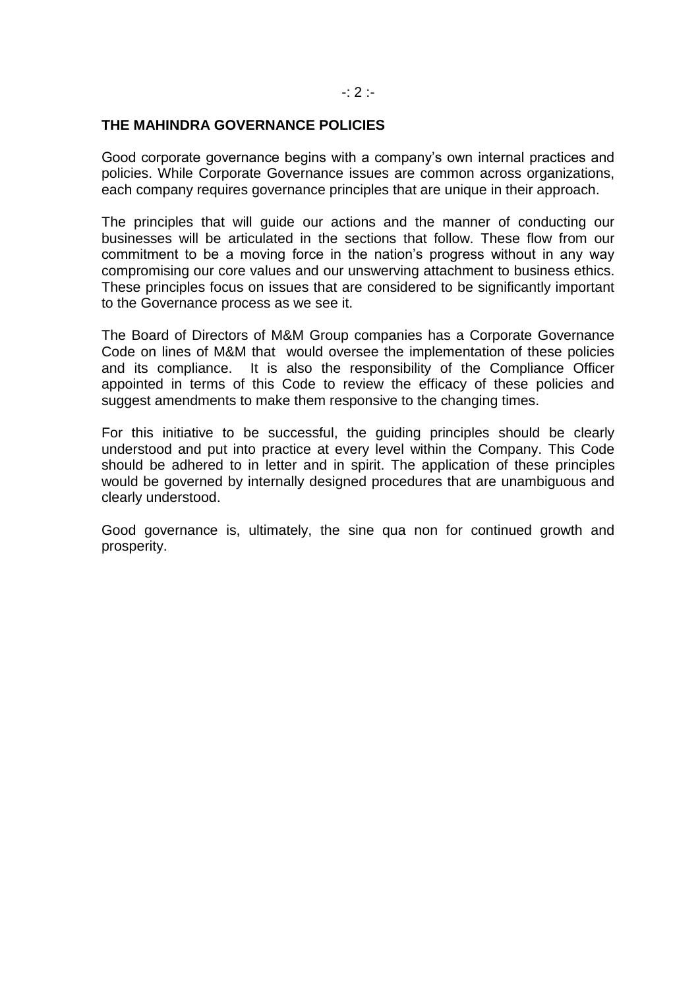#### -: 2 :-

## **THE MAHINDRA GOVERNANCE POLICIES**

Good corporate governance begins with a company's own internal practices and policies. While Corporate Governance issues are common across organizations, each company requires governance principles that are unique in their approach.

The principles that will guide our actions and the manner of conducting our businesses will be articulated in the sections that follow. These flow from our commitment to be a moving force in the nation's progress without in any way compromising our core values and our unswerving attachment to business ethics. These principles focus on issues that are considered to be significantly important to the Governance process as we see it.

The Board of Directors of M&M Group companies has a Corporate Governance Code on lines of M&M that would oversee the implementation of these policies and its compliance. It is also the responsibility of the Compliance Officer appointed in terms of this Code to review the efficacy of these policies and suggest amendments to make them responsive to the changing times.

For this initiative to be successful, the guiding principles should be clearly understood and put into practice at every level within the Company. This Code should be adhered to in letter and in spirit. The application of these principles would be governed by internally designed procedures that are unambiguous and clearly understood.

Good governance is, ultimately, the sine qua non for continued growth and prosperity.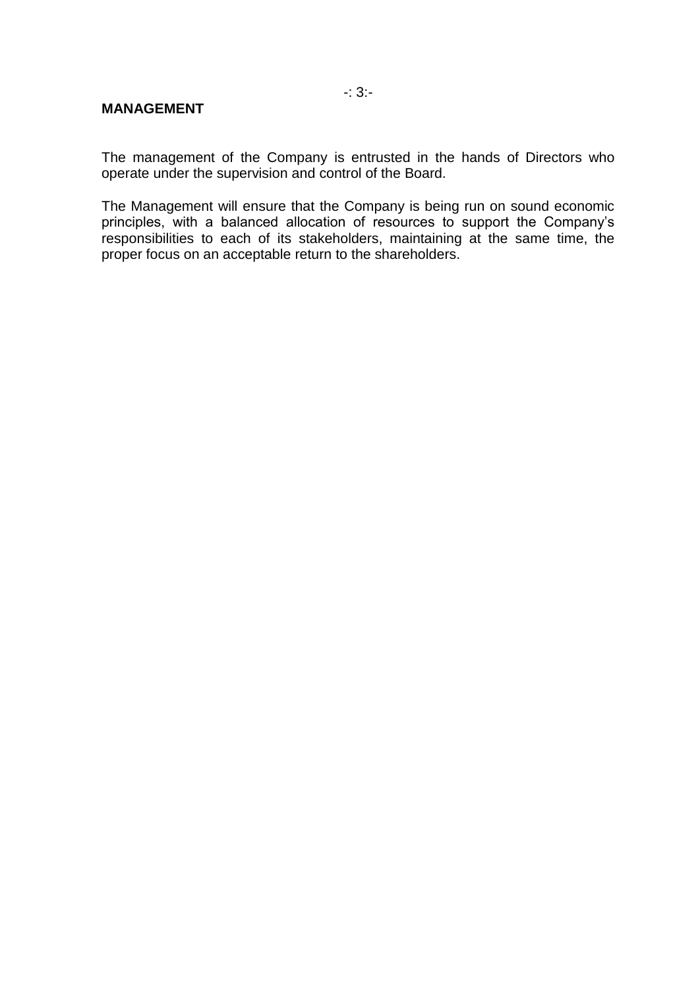## **MANAGEMENT**

The management of the Company is entrusted in the hands of Directors who operate under the supervision and control of the Board.

The Management will ensure that the Company is being run on sound economic principles, with a balanced allocation of resources to support the Company's responsibilities to each of its stakeholders, maintaining at the same time, the proper focus on an acceptable return to the shareholders.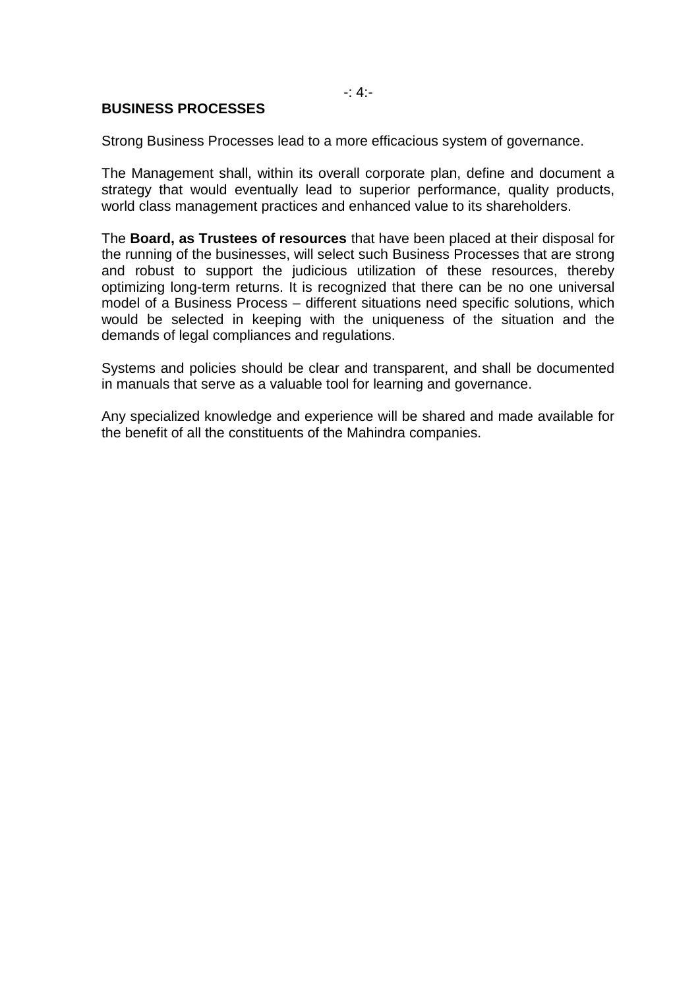$-4$ :

## **BUSINESS PROCESSES**

Strong Business Processes lead to a more efficacious system of governance.

The Management shall, within its overall corporate plan, define and document a strategy that would eventually lead to superior performance, quality products, world class management practices and enhanced value to its shareholders.

The **Board, as Trustees of resources** that have been placed at their disposal for the running of the businesses, will select such Business Processes that are strong and robust to support the judicious utilization of these resources, thereby optimizing long-term returns. It is recognized that there can be no one universal model of a Business Process – different situations need specific solutions, which would be selected in keeping with the uniqueness of the situation and the demands of legal compliances and regulations.

Systems and policies should be clear and transparent, and shall be documented in manuals that serve as a valuable tool for learning and governance.

Any specialized knowledge and experience will be shared and made available for the benefit of all the constituents of the Mahindra companies.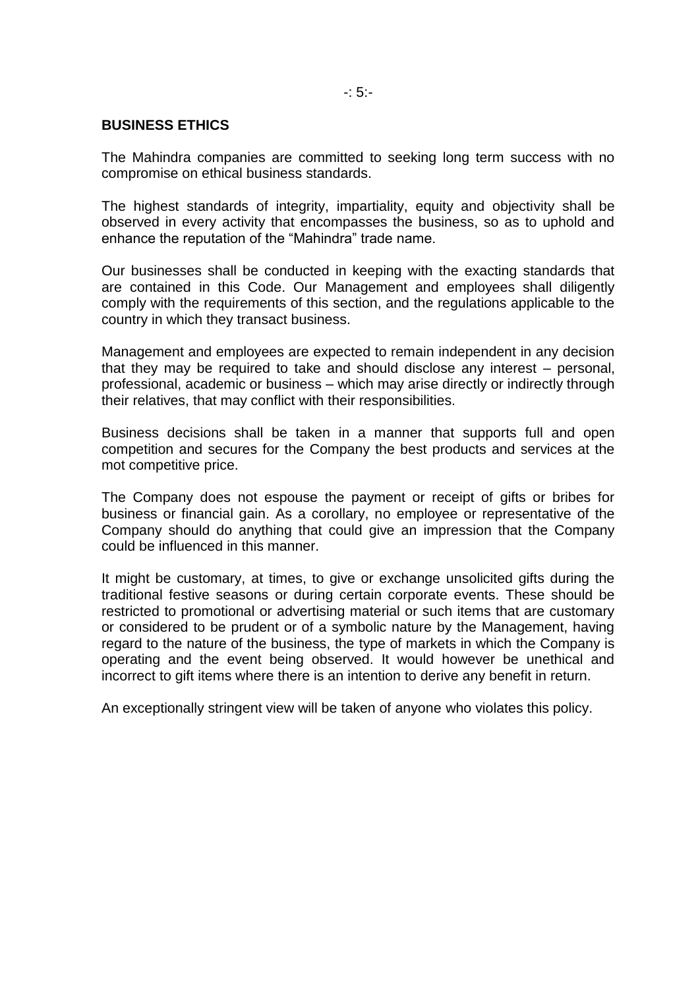# **BUSINESS ETHICS**

The Mahindra companies are committed to seeking long term success with no compromise on ethical business standards.

The highest standards of integrity, impartiality, equity and objectivity shall be observed in every activity that encompasses the business, so as to uphold and enhance the reputation of the "Mahindra" trade name.

Our businesses shall be conducted in keeping with the exacting standards that are contained in this Code. Our Management and employees shall diligently comply with the requirements of this section, and the regulations applicable to the country in which they transact business.

Management and employees are expected to remain independent in any decision that they may be required to take and should disclose any interest – personal, professional, academic or business – which may arise directly or indirectly through their relatives, that may conflict with their responsibilities.

Business decisions shall be taken in a manner that supports full and open competition and secures for the Company the best products and services at the mot competitive price.

The Company does not espouse the payment or receipt of gifts or bribes for business or financial gain. As a corollary, no employee or representative of the Company should do anything that could give an impression that the Company could be influenced in this manner.

It might be customary, at times, to give or exchange unsolicited gifts during the traditional festive seasons or during certain corporate events. These should be restricted to promotional or advertising material or such items that are customary or considered to be prudent or of a symbolic nature by the Management, having regard to the nature of the business, the type of markets in which the Company is operating and the event being observed. It would however be unethical and incorrect to gift items where there is an intention to derive any benefit in return.

An exceptionally stringent view will be taken of anyone who violates this policy.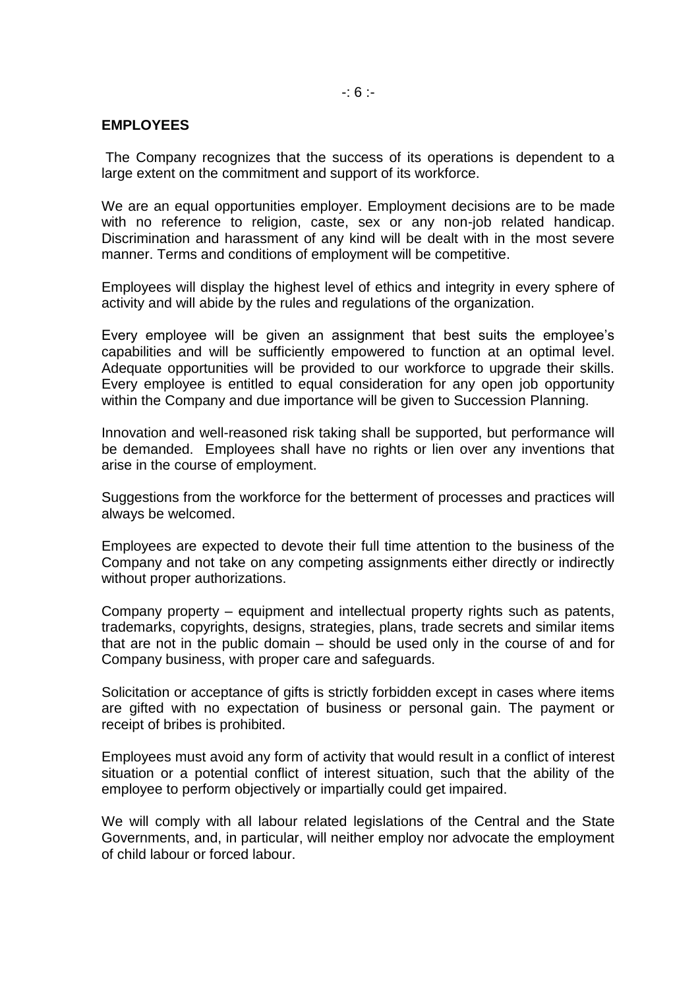## -: 6 :-

# **EMPLOYEES**

The Company recognizes that the success of its operations is dependent to a large extent on the commitment and support of its workforce.

We are an equal opportunities employer. Employment decisions are to be made with no reference to religion, caste, sex or any non-job related handicap. Discrimination and harassment of any kind will be dealt with in the most severe manner. Terms and conditions of employment will be competitive.

Employees will display the highest level of ethics and integrity in every sphere of activity and will abide by the rules and regulations of the organization.

Every employee will be given an assignment that best suits the employee's capabilities and will be sufficiently empowered to function at an optimal level. Adequate opportunities will be provided to our workforce to upgrade their skills. Every employee is entitled to equal consideration for any open job opportunity within the Company and due importance will be given to Succession Planning.

Innovation and well-reasoned risk taking shall be supported, but performance will be demanded. Employees shall have no rights or lien over any inventions that arise in the course of employment.

Suggestions from the workforce for the betterment of processes and practices will always be welcomed.

Employees are expected to devote their full time attention to the business of the Company and not take on any competing assignments either directly or indirectly without proper authorizations.

Company property – equipment and intellectual property rights such as patents, trademarks, copyrights, designs, strategies, plans, trade secrets and similar items that are not in the public domain – should be used only in the course of and for Company business, with proper care and safeguards.

Solicitation or acceptance of gifts is strictly forbidden except in cases where items are gifted with no expectation of business or personal gain. The payment or receipt of bribes is prohibited.

Employees must avoid any form of activity that would result in a conflict of interest situation or a potential conflict of interest situation, such that the ability of the employee to perform objectively or impartially could get impaired.

We will comply with all labour related legislations of the Central and the State Governments, and, in particular, will neither employ nor advocate the employment of child labour or forced labour.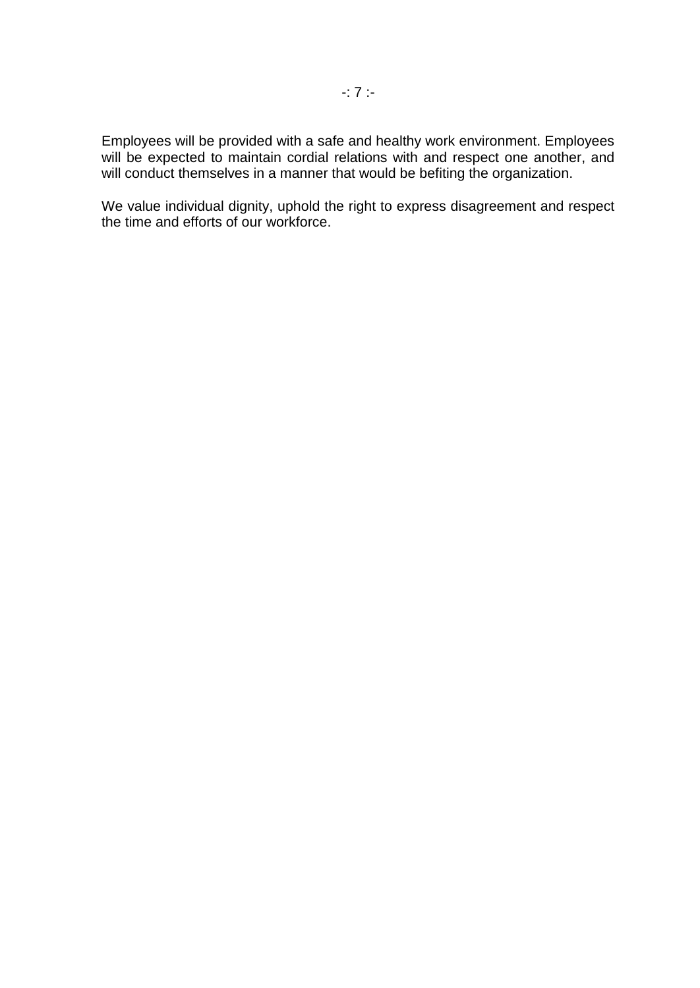Employees will be provided with a safe and healthy work environment. Employees will be expected to maintain cordial relations with and respect one another, and will conduct themselves in a manner that would be befiting the organization.

We value individual dignity, uphold the right to express disagreement and respect the time and efforts of our workforce.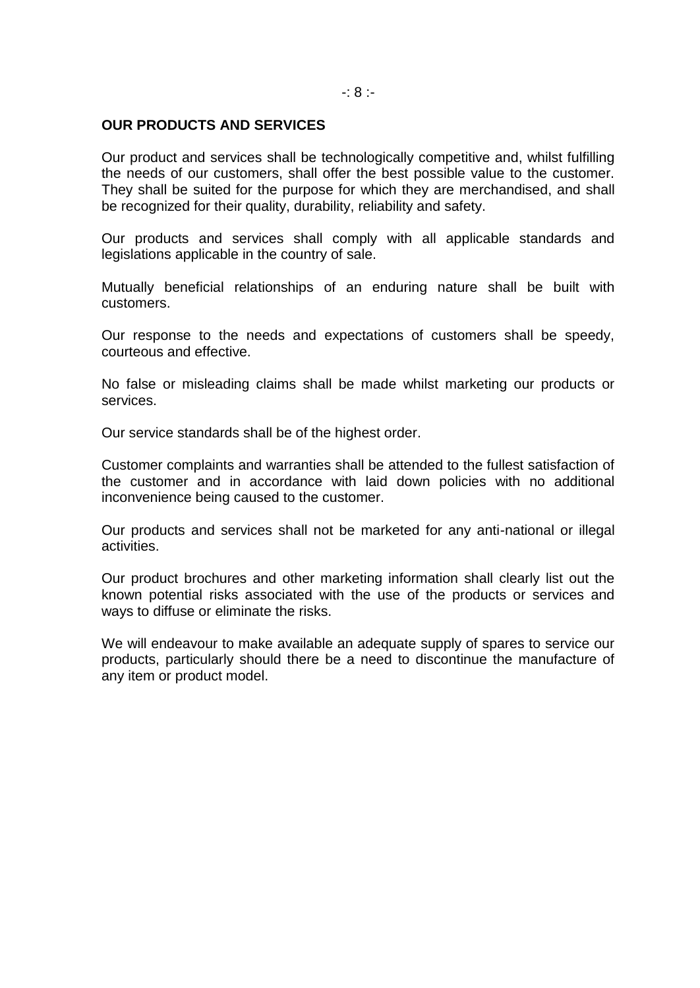# **OUR PRODUCTS AND SERVICES**

Our product and services shall be technologically competitive and, whilst fulfilling the needs of our customers, shall offer the best possible value to the customer. They shall be suited for the purpose for which they are merchandised, and shall be recognized for their quality, durability, reliability and safety.

Our products and services shall comply with all applicable standards and legislations applicable in the country of sale.

Mutually beneficial relationships of an enduring nature shall be built with customers.

Our response to the needs and expectations of customers shall be speedy, courteous and effective.

No false or misleading claims shall be made whilst marketing our products or services.

Our service standards shall be of the highest order.

Customer complaints and warranties shall be attended to the fullest satisfaction of the customer and in accordance with laid down policies with no additional inconvenience being caused to the customer.

Our products and services shall not be marketed for any anti-national or illegal activities.

Our product brochures and other marketing information shall clearly list out the known potential risks associated with the use of the products or services and ways to diffuse or eliminate the risks.

We will endeavour to make available an adequate supply of spares to service our products, particularly should there be a need to discontinue the manufacture of any item or product model.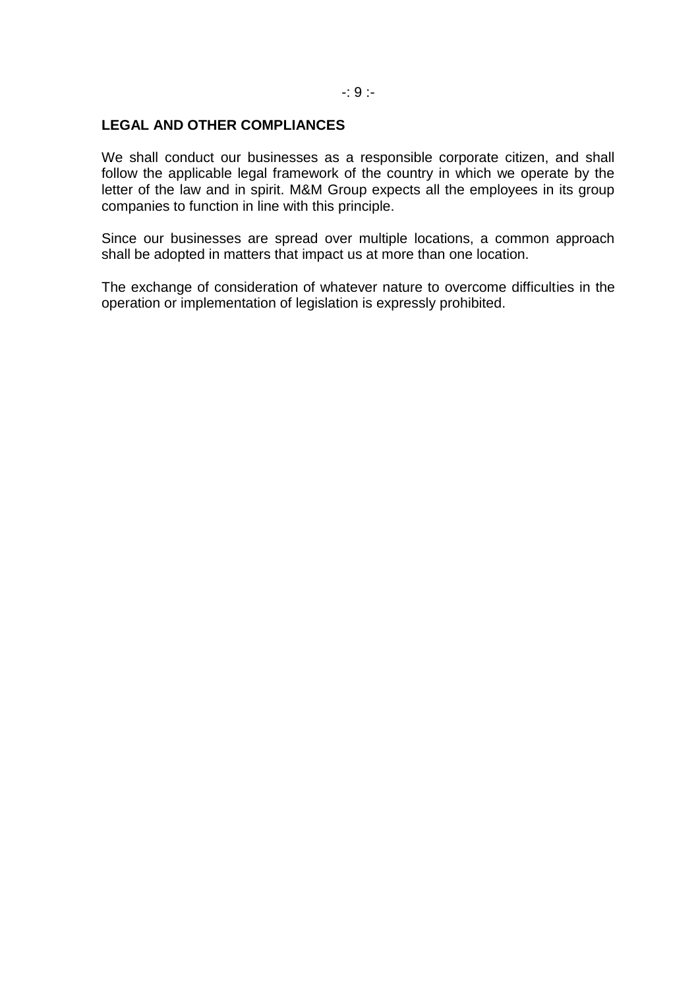# **LEGAL AND OTHER COMPLIANCES**

We shall conduct our businesses as a responsible corporate citizen, and shall follow the applicable legal framework of the country in which we operate by the letter of the law and in spirit. M&M Group expects all the employees in its group companies to function in line with this principle.

Since our businesses are spread over multiple locations, a common approach shall be adopted in matters that impact us at more than one location.

The exchange of consideration of whatever nature to overcome difficulties in the operation or implementation of legislation is expressly prohibited.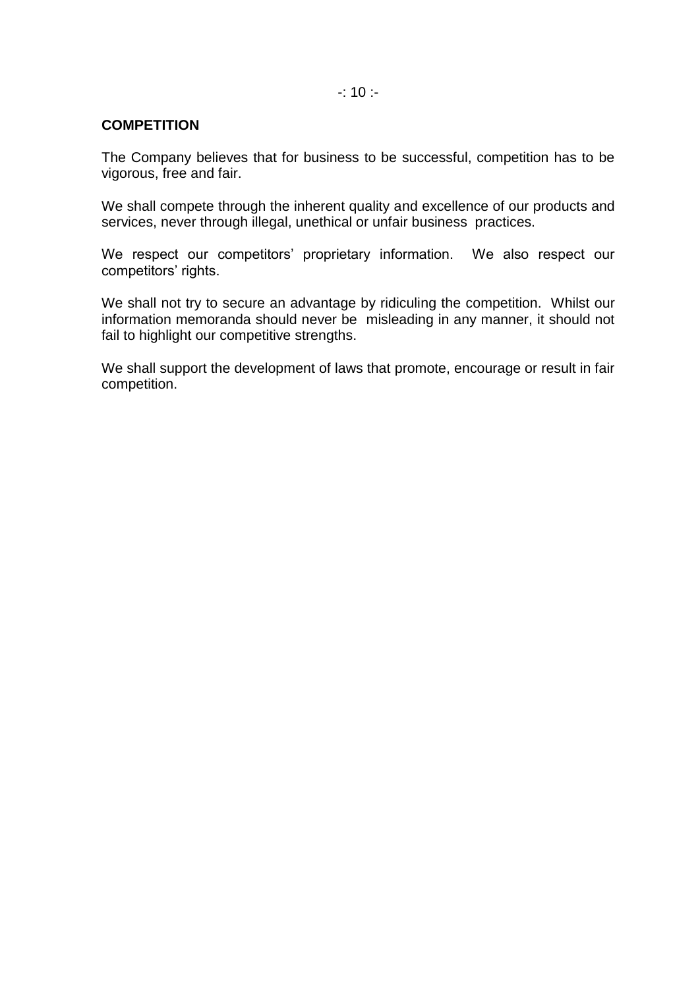# $-: 10 : -$

# **COMPETITION**

The Company believes that for business to be successful, competition has to be vigorous, free and fair.

We shall compete through the inherent quality and excellence of our products and services, never through illegal, unethical or unfair business practices.

We respect our competitors' proprietary information. We also respect our competitors' rights.

We shall not try to secure an advantage by ridiculing the competition. Whilst our information memoranda should never be misleading in any manner, it should not fail to highlight our competitive strengths.

We shall support the development of laws that promote, encourage or result in fair competition.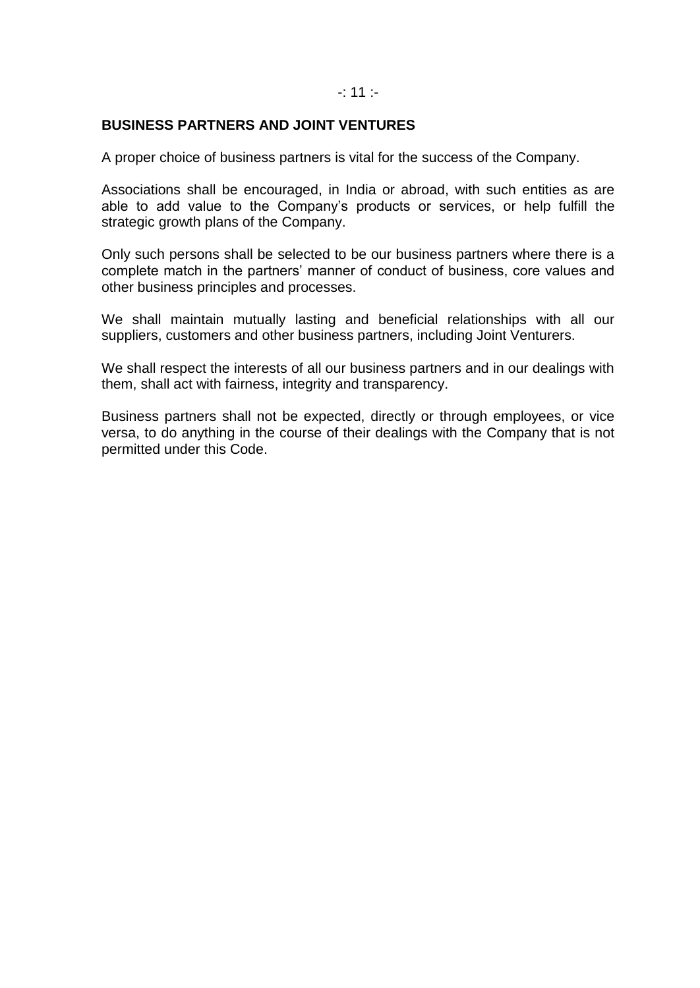## -: 11 :-

## **BUSINESS PARTNERS AND JOINT VENTURES**

A proper choice of business partners is vital for the success of the Company.

Associations shall be encouraged, in India or abroad, with such entities as are able to add value to the Company's products or services, or help fulfill the strategic growth plans of the Company.

Only such persons shall be selected to be our business partners where there is a complete match in the partners' manner of conduct of business, core values and other business principles and processes.

We shall maintain mutually lasting and beneficial relationships with all our suppliers, customers and other business partners, including Joint Venturers.

We shall respect the interests of all our business partners and in our dealings with them, shall act with fairness, integrity and transparency.

Business partners shall not be expected, directly or through employees, or vice versa, to do anything in the course of their dealings with the Company that is not permitted under this Code.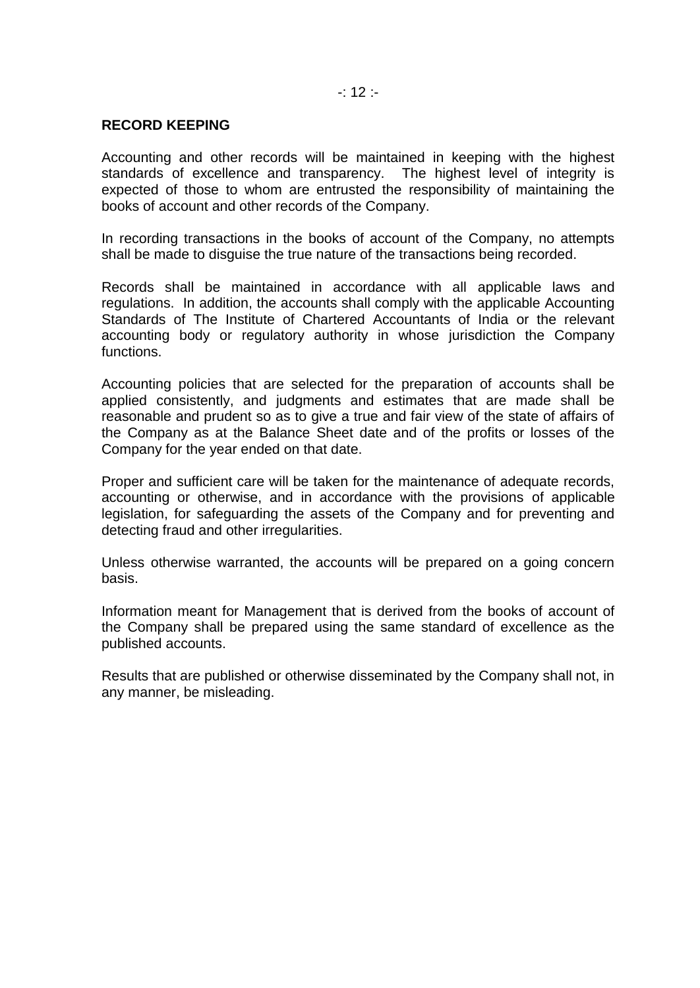# $-: 12 -$

## **RECORD KEEPING**

Accounting and other records will be maintained in keeping with the highest standards of excellence and transparency. The highest level of integrity is expected of those to whom are entrusted the responsibility of maintaining the books of account and other records of the Company.

In recording transactions in the books of account of the Company, no attempts shall be made to disguise the true nature of the transactions being recorded.

Records shall be maintained in accordance with all applicable laws and regulations. In addition, the accounts shall comply with the applicable Accounting Standards of The Institute of Chartered Accountants of India or the relevant accounting body or regulatory authority in whose jurisdiction the Company functions.

Accounting policies that are selected for the preparation of accounts shall be applied consistently, and judgments and estimates that are made shall be reasonable and prudent so as to give a true and fair view of the state of affairs of the Company as at the Balance Sheet date and of the profits or losses of the Company for the year ended on that date.

Proper and sufficient care will be taken for the maintenance of adequate records, accounting or otherwise, and in accordance with the provisions of applicable legislation, for safeguarding the assets of the Company and for preventing and detecting fraud and other irregularities.

Unless otherwise warranted, the accounts will be prepared on a going concern basis.

Information meant for Management that is derived from the books of account of the Company shall be prepared using the same standard of excellence as the published accounts.

Results that are published or otherwise disseminated by the Company shall not, in any manner, be misleading.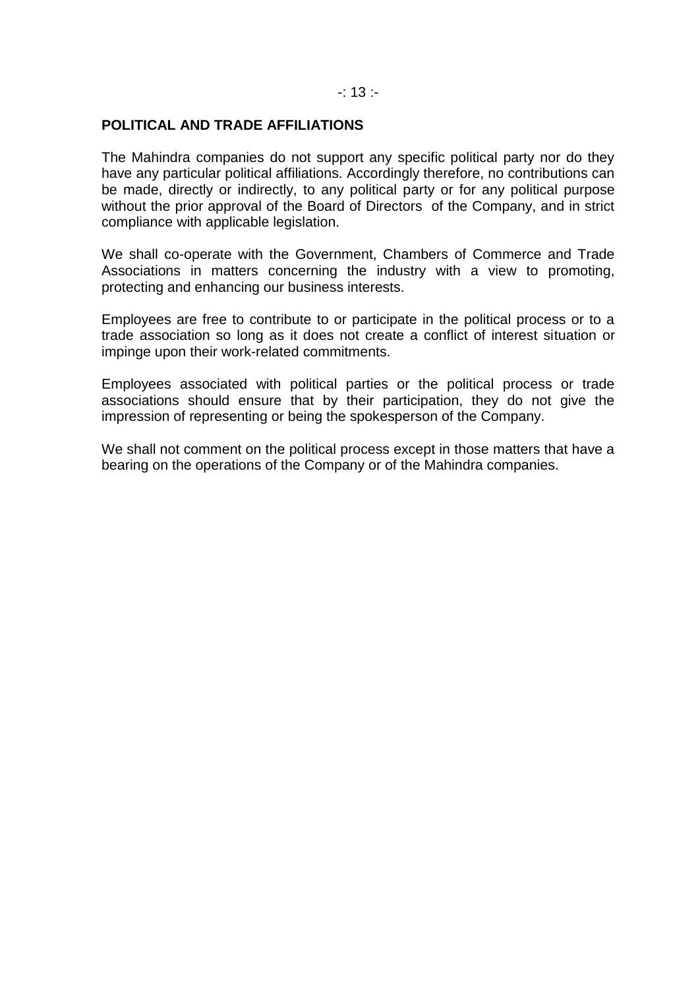### $-: 13 : -$

# **POLITICAL AND TRADE AFFILIATIONS**

The Mahindra companies do not support any specific political party nor do they have any particular political affiliations. Accordingly therefore, no contributions can be made, directly or indirectly, to any political party or for any political purpose without the prior approval of the Board of Directors of the Company, and in strict compliance with applicable legislation.

We shall co-operate with the Government, Chambers of Commerce and Trade Associations in matters concerning the industry with a view to promoting, protecting and enhancing our business interests.

Employees are free to contribute to or participate in the political process or to a trade association so long as it does not create a conflict of interest situation or impinge upon their work-related commitments.

Employees associated with political parties or the political process or trade associations should ensure that by their participation, they do not give the impression of representing or being the spokesperson of the Company.

We shall not comment on the political process except in those matters that have a bearing on the operations of the Company or of the Mahindra companies.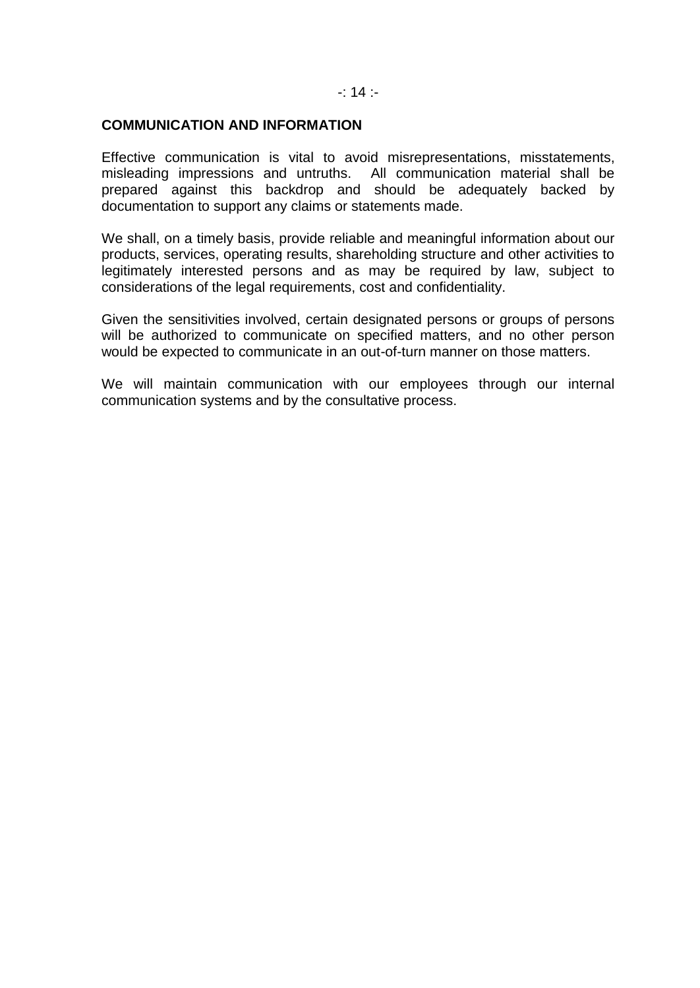#### $-$ : 14 :-

## **COMMUNICATION AND INFORMATION**

Effective communication is vital to avoid misrepresentations, misstatements, misleading impressions and untruths. All communication material shall be prepared against this backdrop and should be adequately backed by documentation to support any claims or statements made.

We shall, on a timely basis, provide reliable and meaningful information about our products, services, operating results, shareholding structure and other activities to legitimately interested persons and as may be required by law, subject to considerations of the legal requirements, cost and confidentiality.

Given the sensitivities involved, certain designated persons or groups of persons will be authorized to communicate on specified matters, and no other person would be expected to communicate in an out-of-turn manner on those matters.

We will maintain communication with our employees through our internal communication systems and by the consultative process.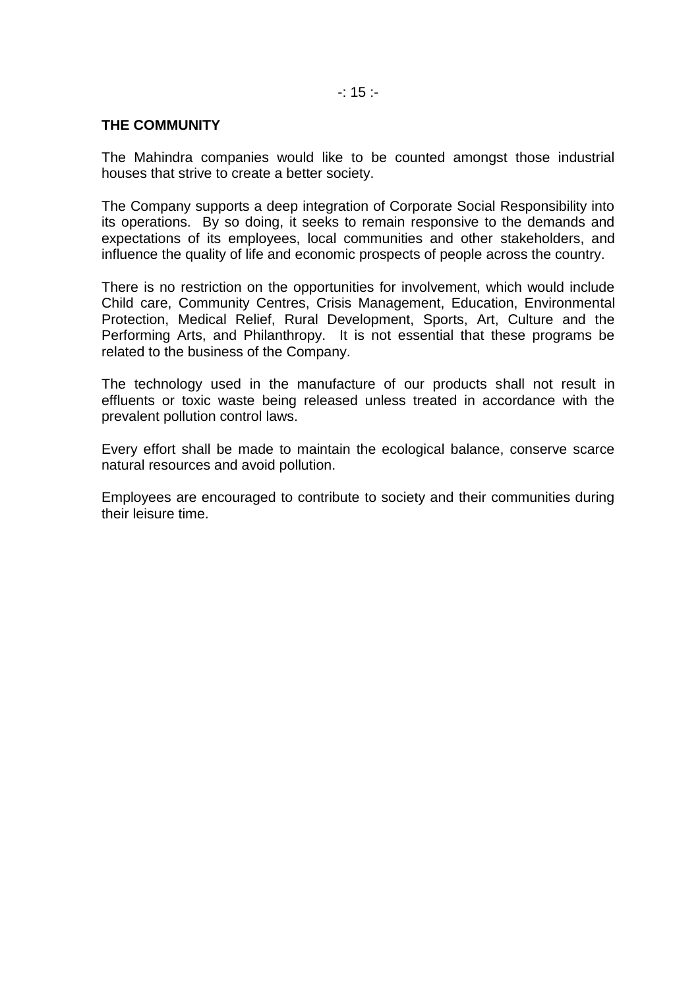# **THE COMMUNITY**

The Mahindra companies would like to be counted amongst those industrial houses that strive to create a better society.

The Company supports a deep integration of Corporate Social Responsibility into its operations. By so doing, it seeks to remain responsive to the demands and expectations of its employees, local communities and other stakeholders, and influence the quality of life and economic prospects of people across the country.

There is no restriction on the opportunities for involvement, which would include Child care, Community Centres, Crisis Management, Education, Environmental Protection, Medical Relief, Rural Development, Sports, Art, Culture and the Performing Arts, and Philanthropy. It is not essential that these programs be related to the business of the Company.

The technology used in the manufacture of our products shall not result in effluents or toxic waste being released unless treated in accordance with the prevalent pollution control laws.

Every effort shall be made to maintain the ecological balance, conserve scarce natural resources and avoid pollution.

Employees are encouraged to contribute to society and their communities during their leisure time.